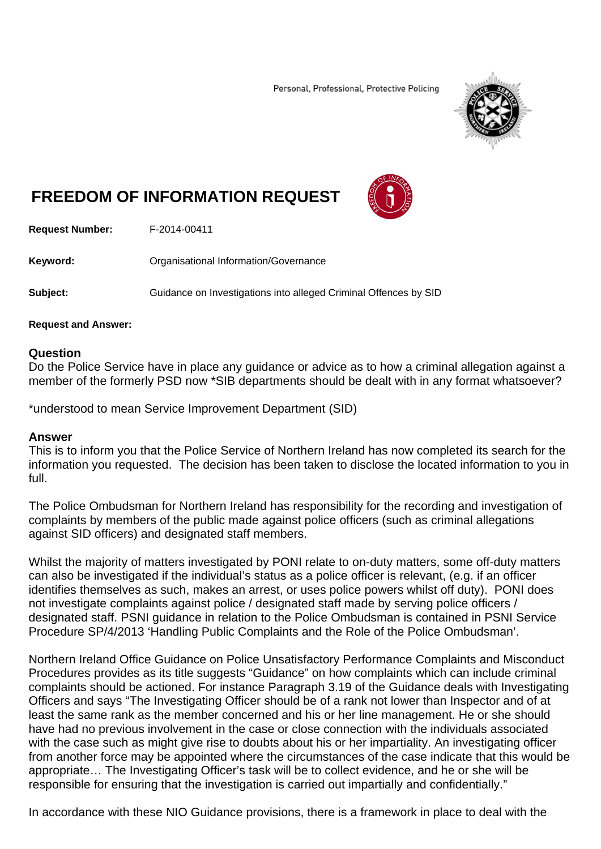Personal, Professional, Protective Policing



## **FREEDOM OF INFORMATION REQUEST**



**Request Number:** F-2014-00411

**Keyword: C**rganisational Information/Governance

**Subject:** Guidance on Investigations into alleged Criminal Offences by SID

## **Request and Answer:**

## **Question**

Do the Police Service have in place any guidance or advice as to how a criminal allegation against a member of the formerly PSD now \*SIB departments should be dealt with in any format whatsoever?

\*understood to mean Service Improvement Department (SID)

## **Answer**

This is to inform you that the Police Service of Northern Ireland has now completed its search for the information you requested. The decision has been taken to disclose the located information to you in full.

The Police Ombudsman for Northern Ireland has responsibility for the recording and investigation of complaints by members of the public made against police officers (such as criminal allegations against SID officers) and designated staff members.

Whilst the majority of matters investigated by PONI relate to on-duty matters, some off-duty matters can also be investigated if the individual's status as a police officer is relevant, (e.g. if an officer identifies themselves as such, makes an arrest, or uses police powers whilst off duty). PONI does not investigate complaints against police / designated staff made by serving police officers / designated staff. PSNI guidance in relation to the Police Ombudsman is contained in PSNI Service Procedure SP/4/2013 'Handling Public Complaints and the Role of the Police Ombudsman'.

Northern Ireland Office Guidance on Police Unsatisfactory Performance Complaints and Misconduct Procedures provides as its title suggests "Guidance" on how complaints which can include criminal complaints should be actioned. For instance Paragraph 3.19 of the Guidance deals with Investigating Officers and says "The Investigating Officer should be of a rank not lower than Inspector and of at least the same rank as the member concerned and his or her line management. He or she should have had no previous involvement in the case or close connection with the individuals associated with the case such as might give rise to doubts about his or her impartiality. An investigating officer from another force may be appointed where the circumstances of the case indicate that this would be appropriate… The Investigating Officer's task will be to collect evidence, and he or she will be responsible for ensuring that the investigation is carried out impartially and confidentially."

In accordance with these NIO Guidance provisions, there is a framework in place to deal with the